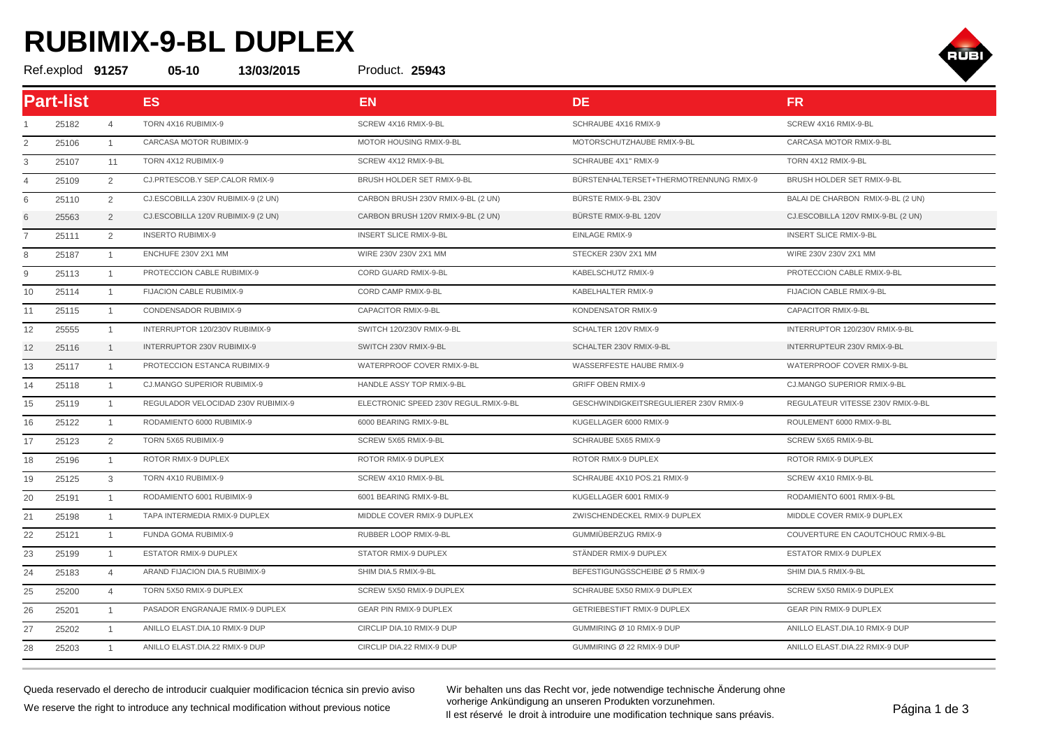## **RUBIMIX-9-BL DUPLEX**

Ref.explod **91257 05-10 13/03/2015 25943**



| Part-list |       |                | <b>ES</b>                          | <b>EN</b>                             | <b>DE</b>                              | <b>FR</b>                          |  |
|-----------|-------|----------------|------------------------------------|---------------------------------------|----------------------------------------|------------------------------------|--|
|           | 25182 | $\overline{4}$ | TORN 4X16 RUBIMIX-9                | SCREW 4X16 RMIX-9-BL                  | SCHRAUBE 4X16 RMIX-9                   | SCREW 4X16 RMIX-9-BL               |  |
| 2         | 25106 | $\overline{1}$ | CARCASA MOTOR RUBIMIX-9            | MOTOR HOUSING RMIX-9-BL               | MOTORSCHUTZHAUBE RMIX-9-BL             | CARCASA MOTOR RMIX-9-BL            |  |
| 3         | 25107 | 11             | TORN 4X12 RUBIMIX-9                | SCREW 4X12 RMIX-9-BL                  | SCHRAUBE 4X1" RMIX-9                   | TORN 4X12 RMIX-9-BL                |  |
| 4         | 25109 | 2              | CJ.PRTESCOB.Y SEP.CALOR RMIX-9     | BRUSH HOLDER SET RMIX-9-BL            | BÜRSTENHALTERSET+THERMOTRENNUNG RMIX-9 | BRUSH HOLDER SET RMIX-9-BL         |  |
| 6         | 25110 | 2              | CJ.ESCOBILLA 230V RUBIMIX-9 (2 UN) | CARBON BRUSH 230V RMIX-9-BL (2 UN)    | BÜRSTE RMIX-9-BL 230V                  | BALAI DE CHARBON RMIX-9-BL (2 UN)  |  |
| 6         | 25563 | 2              | CJ.ESCOBILLA 120V RUBIMIX-9 (2 UN) | CARBON BRUSH 120V RMIX-9-BL (2 UN)    | BÜRSTE RMIX-9-BL 120V                  | CJ.ESCOBILLA 120V RMIX-9-BL (2 UN) |  |
|           | 25111 | 2              | <b>INSERTO RUBIMIX-9</b>           | <b>INSERT SLICE RMIX-9-BL</b>         | EINLAGE RMIX-9                         | <b>INSERT SLICE RMIX-9-BL</b>      |  |
| 8         | 25187 | $\overline{1}$ | ENCHUFE 230V 2X1 MM                | WIRE 230V 230V 2X1 MM                 | STECKER 230V 2X1 MM                    | WIRE 230V 230V 2X1 MM              |  |
| 9         | 25113 | $\overline{1}$ | PROTECCION CABLE RUBIMIX-9         | CORD GUARD RMIX-9-BL                  | KABELSCHUTZ RMIX-9                     | PROTECCION CABLE RMIX-9-BL         |  |
| 10        | 25114 | $\overline{1}$ | FIJACION CABLE RUBIMIX-9           | CORD CAMP RMIX-9-BL                   | KABELHALTER RMIX-9                     | FIJACION CABLE RMIX-9-BL           |  |
| 11        | 25115 | $\overline{1}$ | CONDENSADOR RUBIMIX-9              | CAPACITOR RMIX-9-BL                   | KONDENSATOR RMIX-9                     | CAPACITOR RMIX-9-BL                |  |
| 12        | 25555 | $\overline{1}$ | INTERRUPTOR 120/230V RUBIMIX-9     | SWITCH 120/230V RMIX-9-BL             | SCHALTER 120V RMIX-9                   | INTERRUPTOR 120/230V RMIX-9-BL     |  |
| 12        | 25116 | $\overline{1}$ | INTERRUPTOR 230V RUBIMIX-9         | SWITCH 230V RMIX-9-BL                 | SCHALTER 230V RMIX-9-BL                | INTERRUPTEUR 230V RMIX-9-BL        |  |
| 13        | 25117 | $\overline{1}$ | PROTECCION ESTANCA RUBIMIX-9       | WATERPROOF COVER RMIX-9-BL            | WASSERFESTE HAUBE RMIX-9               | WATERPROOF COVER RMIX-9-BL         |  |
| 14        | 25118 | $\overline{1}$ | CJ.MANGO SUPERIOR RUBIMIX-9        | HANDLE ASSY TOP RMIX-9-BL             | <b>GRIFF OBEN RMIX-9</b>               | CJ.MANGO SUPERIOR RMIX-9-BL        |  |
| 15        | 25119 | $\overline{1}$ | REGULADOR VELOCIDAD 230V RUBIMIX-9 | ELECTRONIC SPEED 230V REGUL.RMIX-9-BL | GESCHWINDIGKEITSREGULIERER 230V RMIX-9 | REGULATEUR VITESSE 230V RMIX-9-BL  |  |
| 16        | 25122 | $\overline{1}$ | RODAMIENTO 6000 RUBIMIX-9          | 6000 BEARING RMIX-9-BL                | KUGELLAGER 6000 RMIX-9                 | ROULEMENT 6000 RMIX-9-BL           |  |
| 17        | 25123 | 2              | TORN 5X65 RUBIMIX-9                | SCREW 5X65 RMIX-9-BL                  | SCHRAUBE 5X65 RMIX-9                   | SCREW 5X65 RMIX-9-BL               |  |
| 18        | 25196 | $\overline{1}$ | ROTOR RMIX-9 DUPLEX                | ROTOR RMIX-9 DUPLEX                   | ROTOR RMIX-9 DUPLEX                    | ROTOR RMIX-9 DUPLEX                |  |
| 19        | 25125 | 3              | TORN 4X10 RUBIMIX-9                | SCREW 4X10 RMIX-9-BL                  | SCHRAUBE 4X10 POS.21 RMIX-9            | SCREW 4X10 RMIX-9-BL               |  |
| 20        | 25191 | $\overline{1}$ | RODAMIENTO 6001 RUBIMIX-9          | 6001 BEARING RMIX-9-BL                | KUGELLAGER 6001 RMIX-9                 | RODAMIENTO 6001 RMIX-9-BL          |  |
| 21        | 25198 | $\overline{1}$ | TAPA INTERMEDIA RMIX-9 DUPLEX      | MIDDLE COVER RMIX-9 DUPLEX            | ZWISCHENDECKEL RMIX-9 DUPLEX           | MIDDLE COVER RMIX-9 DUPLEX         |  |
| 22        | 25121 | $\overline{1}$ | FUNDA GOMA RUBIMIX-9               | RUBBER LOOP RMIX-9-BL                 | GUMMIÜBERZUG RMIX-9                    | COUVERTURE EN CAOUTCHOUC RMIX-9-BL |  |
| 23        | 25199 | $\overline{1}$ | ESTATOR RMIX-9 DUPLEX              | STATOR RMIX-9 DUPLEX                  | STÄNDER RMIX-9 DUPLEX                  | ESTATOR RMIX-9 DUPLEX              |  |
| 24        | 25183 | $\overline{4}$ | ARAND FIJACION DIA.5 RUBIMIX-9     | SHIM DIA.5 RMIX-9-BL                  | BEFESTIGUNGSSCHEIBE Ø 5 RMIX-9         | SHIM DIA.5 RMIX-9-BL               |  |
| 25        | 25200 | $\overline{4}$ | TORN 5X50 RMIX-9 DUPLEX            | SCREW 5X50 RMIX-9 DUPLEX              | SCHRAUBE 5X50 RMIX-9 DUPLEX            | SCREW 5X50 RMIX-9 DUPLEX           |  |
| 26        | 25201 | $\overline{1}$ | PASADOR ENGRANAJE RMIX-9 DUPLEX    | <b>GEAR PIN RMIX-9 DUPLEX</b>         | GETRIEBESTIFT RMIX-9 DUPLEX            | <b>GEAR PIN RMIX-9 DUPLEX</b>      |  |
| 27        | 25202 | $\overline{1}$ | ANILLO ELAST.DIA.10 RMIX-9 DUP     | CIRCLIP DIA.10 RMIX-9 DUP             | GUMMIRING Ø 10 RMIX-9 DUP              | ANILLO ELAST.DIA.10 RMIX-9 DUP     |  |
| 28        | 25203 | $\overline{1}$ | ANILLO ELAST.DIA.22 RMIX-9 DUP     | CIRCLIP DIA.22 RMIX-9 DUP             | GUMMIRING Ø 22 RMIX-9 DUP              | ANILLO ELAST.DIA.22 RMIX-9 DUP     |  |

Product. 25943

Queda reservado el derecho de introducir cualquier modificacion técnica sin previo aviso We reserve the right to introduce any technical modification without previous notice

Wir behalten uns das Recht vor, jede notwendige technische Änderung ohne vorherige Ankündigung an unseren Produkten vorzunehmen. vornenge Ankunaigung an unseren Produkten vorzumennen.<br>Il est réservé le droit à introduire une modification technique sans préavis.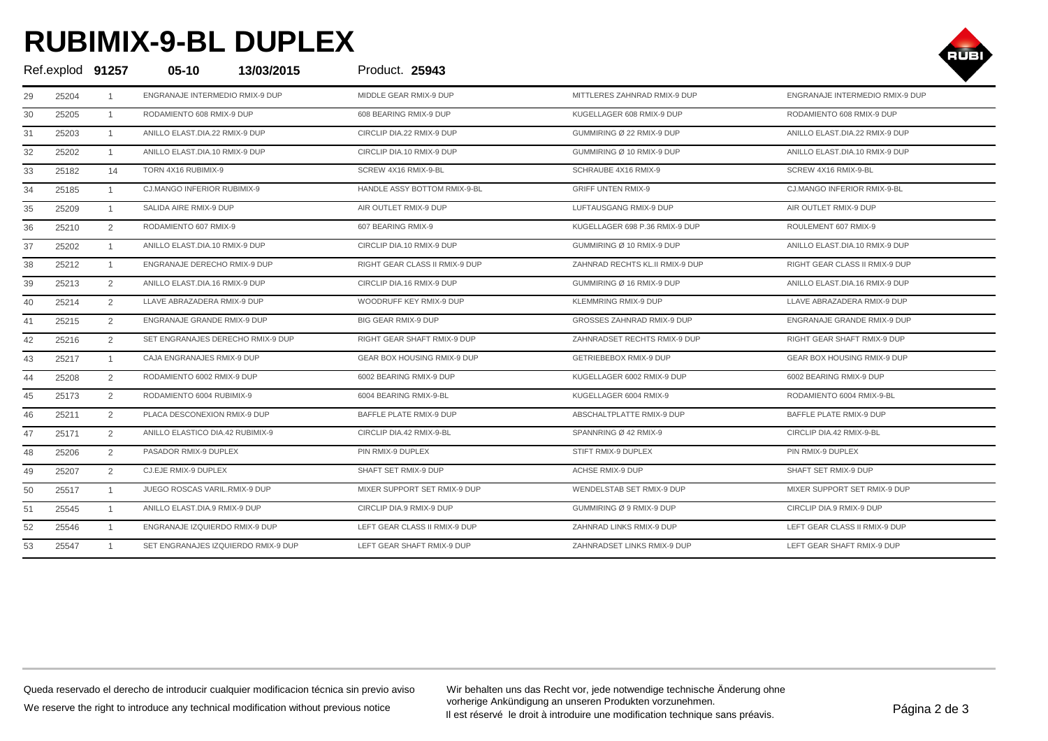## **RUBIMIX-9-BL DUPLEX**



| Ref.explod 91257 |       |                | $05 - 10$                           | 13/03/2015 | Product. 25943                 |                                 |                                 |
|------------------|-------|----------------|-------------------------------------|------------|--------------------------------|---------------------------------|---------------------------------|
| 29               | 25204 | -1             | ENGRANAJE INTERMEDIO RMIX-9 DUP     |            | MIDDLE GEAR RMIX-9 DUP         | MITTLERES ZAHNRAD RMIX-9 DUP    | ENGRANAJE INTERMEDIO RMIX-9 DUP |
| 30               | 25205 | $\mathbf{1}$   | RODAMIENTO 608 RMIX-9 DUP           |            | 608 BEARING RMIX-9 DUP         | KUGELLAGER 608 RMIX-9 DUP       | RODAMIENTO 608 RMIX-9 DUP       |
| 31               | 25203 | $\mathbf{1}$   | ANILLO ELAST.DIA.22 RMIX-9 DUP      |            | CIRCLIP DIA.22 RMIX-9 DUP      | GUMMIRING Ø 22 RMIX-9 DUP       | ANILLO ELAST.DIA.22 RMIX-9 DUP  |
| 32               | 25202 | $\mathbf{1}$   | ANILLO ELAST.DIA.10 RMIX-9 DUP      |            | CIRCLIP DIA.10 RMIX-9 DUP      | GUMMIRING Ø 10 RMIX-9 DUP       | ANILLO ELAST.DIA.10 RMIX-9 DUP  |
| 33               | 25182 | 14             | TORN 4X16 RUBIMIX-9                 |            | SCREW 4X16 RMIX-9-BL           | SCHRAUBE 4X16 RMIX-9            | SCREW 4X16 RMIX-9-BL            |
| 34               | 25185 | $\mathbf{1}$   | CJ.MANGO INFERIOR RUBIMIX-9         |            | HANDLE ASSY BOTTOM RMIX-9-BL   | <b>GRIFF UNTEN RMIX-9</b>       | CJ.MANGO INFERIOR RMIX-9-BL     |
| 35               | 25209 | $\overline{1}$ | SALIDA AIRE RMIX-9 DUP              |            | AIR OUTLET RMIX-9 DUP          | LUFTAUSGANG RMIX-9 DUP          | AIR OUTLET RMIX-9 DUP           |
| 36               | 25210 | $\overline{2}$ | RODAMIENTO 607 RMIX-9               |            | 607 BEARING RMIX-9             | KUGELLAGER 698 P.36 RMIX-9 DUP  | ROULEMENT 607 RMIX-9            |
| 37               | 25202 |                | ANILLO ELAST.DIA.10 RMIX-9 DUP      |            | CIRCLIP DIA.10 RMIX-9 DUP      | GUMMIRING Ø 10 RMIX-9 DUP       | ANILLO ELAST.DIA.10 RMIX-9 DUP  |
| 38               | 25212 | $\mathbf{1}$   | ENGRANAJE DERECHO RMIX-9 DUP        |            | RIGHT GEAR CLASS II RMIX-9 DUP | ZAHNRAD RECHTS KL.II RMIX-9 DUP | RIGHT GEAR CLASS II RMIX-9 DUP  |
| 39               | 25213 | 2              | ANILLO ELAST.DIA.16 RMIX-9 DUP      |            | CIRCLIP DIA.16 RMIX-9 DUP      | GUMMIRING Ø 16 RMIX-9 DUP       | ANILLO ELAST.DIA.16 RMIX-9 DUP  |
| 40               | 25214 | 2              | LLAVE ABRAZADERA RMIX-9 DUP         |            | WOODRUFF KEY RMIX-9 DUP        | KLEMMRING RMIX-9 DUP            | LLAVE ABRAZADERA RMIX-9 DUP     |
| 41               | 25215 | 2              | ENGRANAJE GRANDE RMIX-9 DUP         |            | <b>BIG GEAR RMIX-9 DUP</b>     | GROSSES ZAHNRAD RMIX-9 DUP      | ENGRANAJE GRANDE RMIX-9 DUP     |
| 42               | 25216 | 2              | SET ENGRANAJES DERECHO RMIX-9 DUP   |            | RIGHT GEAR SHAFT RMIX-9 DUP    | ZAHNRADSET RECHTS RMIX-9 DUP    | RIGHT GEAR SHAFT RMIX-9 DUP     |
| 43               | 25217 | $\mathbf{1}$   | CAJA ENGRANAJES RMIX-9 DUP          |            | GEAR BOX HOUSING RMIX-9 DUP    | GETRIEBEBOX RMIX-9 DUP          | GEAR BOX HOUSING RMIX-9 DUP     |
| 44               | 25208 | 2              | RODAMIENTO 6002 RMIX-9 DUP          |            | 6002 BEARING RMIX-9 DUP        | KUGELLAGER 6002 RMIX-9 DUP      | 6002 BEARING RMIX-9 DUP         |
| 45               | 25173 | 2              | RODAMIENTO 6004 RUBIMIX-9           |            | 6004 BEARING RMIX-9-BL         | KUGELLAGER 6004 RMIX-9          | RODAMIENTO 6004 RMIX-9-BL       |
| 46               | 25211 | $\overline{2}$ | PLACA DESCONEXION RMIX-9 DUP        |            | BAFFLE PLATE RMIX-9 DUP        | ABSCHALTPLATTE RMIX-9 DUP       | BAFFLE PLATE RMIX-9 DUP         |
| 47               | 25171 | 2              | ANILLO ELASTICO DIA.42 RUBIMIX-9    |            | CIRCLIP DIA.42 RMIX-9-BL       | SPANNRING Ø 42 RMIX-9           | CIRCLIP DIA.42 RMIX-9-BL        |
| 48               | 25206 | $\overline{2}$ | PASADOR RMIX-9 DUPLEX               |            | PIN RMIX-9 DUPLEX              | STIFT RMIX-9 DUPLEX             | PIN RMIX-9 DUPLEX               |
| 49               | 25207 | 2              | CJ.EJE RMIX-9 DUPLEX                |            | SHAFT SET RMIX-9 DUP           | ACHSE RMIX-9 DUP                | SHAFT SET RMIX-9 DUP            |
| 50               | 25517 | $\mathbf{1}$   | JUEGO ROSCAS VARIL.RMIX-9 DUP       |            | MIXER SUPPORT SET RMIX-9 DUP   | WENDELSTAB SET RMIX-9 DUP       | MIXER SUPPORT SET RMIX-9 DUP    |
| 51               | 25545 | $\mathbf{1}$   | ANILLO ELAST.DIA.9 RMIX-9 DUP       |            | CIRCLIP DIA.9 RMIX-9 DUP       | GUMMIRING Ø 9 RMIX-9 DUP        | CIRCLIP DIA.9 RMIX-9 DUP        |
| 52               | 25546 |                | ENGRANAJE IZQUIERDO RMIX-9 DUP      |            | LEFT GEAR CLASS II RMIX-9 DUP  | ZAHNRAD LINKS RMIX-9 DUP        | LEFT GEAR CLASS II RMIX-9 DUP   |
| 53               | 25547 |                | SET ENGRANAJES IZQUIERDO RMIX-9 DUP |            | LEFT GEAR SHAFT RMIX-9 DUP     | ZAHNRADSET LINKS RMIX-9 DUP     | LEFT GEAR SHAFT RMIX-9 DUP      |